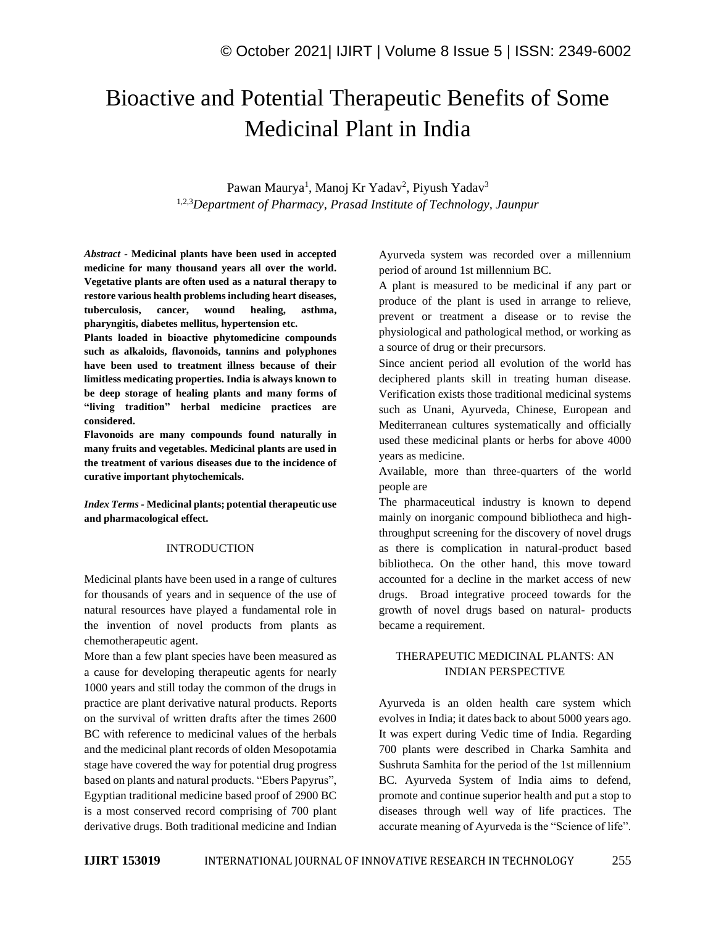# Bioactive and Potential Therapeutic Benefits of Some Medicinal Plant in India

Pawan Maurya<sup>1</sup>, Manoj Kr Yadav<sup>2</sup>, Piyush Yadav<sup>3</sup> 1,2,3*Department of Pharmacy, Prasad Institute of Technology, Jaunpur* 

*Abstract -* **Medicinal plants have been used in accepted medicine for many thousand years all over the world. Vegetative plants are often used as a natural therapy to restore various health problems including heart diseases, tuberculosis, cancer, wound healing, asthma, pharyngitis, diabetes mellitus, hypertension etc.** 

**Plants loaded in bioactive phytomedicine compounds such as alkaloids, flavonoids, tannins and polyphones have been used to treatment illness because of their limitless medicating properties. India is always known to be deep storage of healing plants and many forms of "living tradition" herbal medicine practices are considered.** 

**Flavonoids are many compounds found naturally in many fruits and vegetables. Medicinal plants are used in the treatment of various diseases due to the incidence of curative important phytochemicals.**

*Index Terms -* **Medicinal plants; potential therapeutic use and pharmacological effect.**

#### INTRODUCTION

Medicinal plants have been used in a range of cultures for thousands of years and in sequence of the use of natural resources have played a fundamental role in the invention of novel products from plants as chemotherapeutic agent.

More than a few plant species have been measured as a cause for developing therapeutic agents for nearly 1000 years and still today the common of the drugs in practice are plant derivative natural products. Reports on the survival of written drafts after the times 2600 BC with reference to medicinal values of the herbals and the medicinal plant records of olden Mesopotamia stage have covered the way for potential drug progress based on plants and natural products. "Ebers Papyrus", Egyptian traditional medicine based proof of 2900 BC is a most conserved record comprising of 700 plant derivative drugs. Both traditional medicine and Indian Ayurveda system was recorded over a millennium period of around 1st millennium BC.

A plant is measured to be medicinal if any part or produce of the plant is used in arrange to relieve, prevent or treatment a disease or to revise the physiological and pathological method, or working as a source of drug or their precursors.

Since ancient period all evolution of the world has deciphered plants skill in treating human disease. Verification exists those traditional medicinal systems such as Unani, Ayurveda, Chinese, European and Mediterranean cultures systematically and officially used these medicinal plants or herbs for above 4000 years as medicine.

Available, more than three-quarters of the world people are

The pharmaceutical industry is known to depend mainly on inorganic compound bibliotheca and highthroughput screening for the discovery of novel drugs as there is complication in natural-product based bibliotheca. On the other hand, this move toward accounted for a decline in the market access of new drugs. Broad integrative proceed towards for the growth of novel drugs based on natural- products became a requirement.

#### THERAPEUTIC MEDICINAL PLANTS: AN INDIAN PERSPECTIVE

Ayurveda is an olden health care system which evolves in India; it dates back to about 5000 years ago. It was expert during Vedic time of India. Regarding 700 plants were described in Charka Samhita and Sushruta Samhita for the period of the 1st millennium BC. Ayurveda System of India aims to defend, promote and continue superior health and put a stop to diseases through well way of life practices. The accurate meaning of Ayurveda is the "Science of life".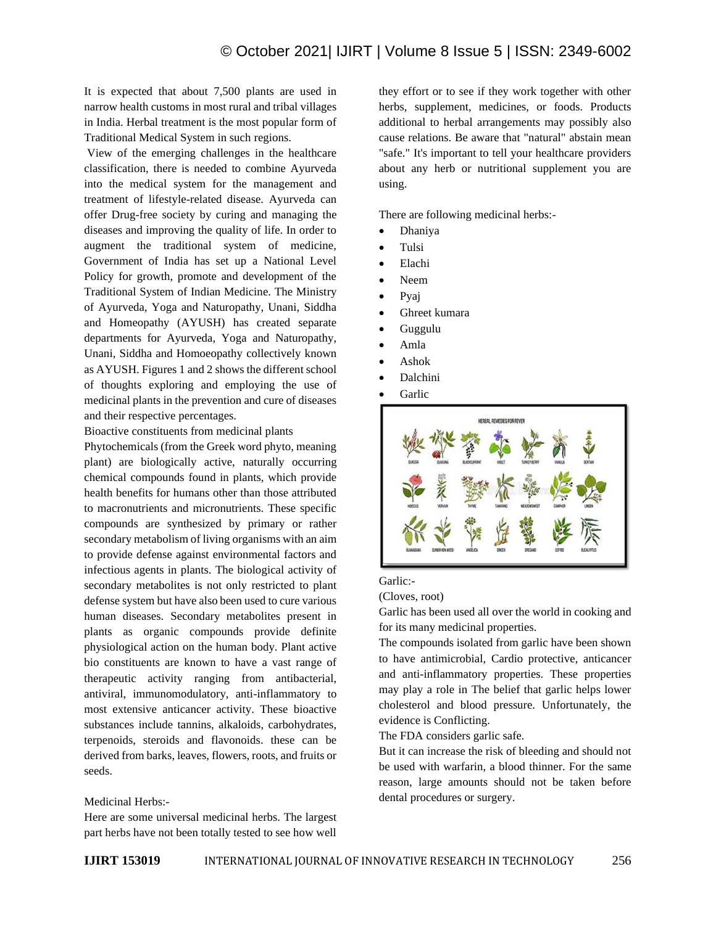It is expected that about 7,500 plants are used in narrow health customs in most rural and tribal villages in India. Herbal treatment is the most popular form of Traditional Medical System in such regions.

View of the emerging challenges in the healthcare classification, there is needed to combine Ayurveda into the medical system for the management and treatment of lifestyle-related disease. Ayurveda can offer Drug-free society by curing and managing the diseases and improving the quality of life. In order to augment the traditional system of medicine, Government of India has set up a National Level Policy for growth, promote and development of the Traditional System of Indian Medicine. The Ministry of Ayurveda, Yoga and Naturopathy, Unani, Siddha and Homeopathy (AYUSH) has created separate departments for Ayurveda, Yoga and Naturopathy, Unani, Siddha and Homoeopathy collectively known as AYUSH. Figures 1 and 2 shows the different school of thoughts exploring and employing the use of medicinal plants in the prevention and cure of diseases and their respective percentages.

Bioactive constituents from medicinal plants

Phytochemicals (from the Greek word phyto, meaning plant) are biologically active, naturally occurring chemical compounds found in plants, which provide health benefits for humans other than those attributed to macronutrients and micronutrients. These specific compounds are synthesized by primary or rather secondary metabolism of living organisms with an aim to provide defense against environmental factors and infectious agents in plants. The biological activity of secondary metabolites is not only restricted to plant defense system but have also been used to cure various human diseases. Secondary metabolites present in plants as organic compounds provide definite physiological action on the human body. Plant active bio constituents are known to have a vast range of therapeutic activity ranging from antibacterial, antiviral, immunomodulatory, anti-inflammatory to most extensive anticancer activity. These bioactive substances include tannins, alkaloids, carbohydrates, terpenoids, steroids and flavonoids. these can be derived from barks, leaves, flowers, roots, and fruits or seeds.

#### Medicinal Herbs:-

Here are some universal medicinal herbs. The largest part herbs have not been totally tested to see how well

they effort or to see if they work together with other herbs, supplement, medicines, or foods. Products additional to herbal arrangements may possibly also cause relations. Be aware that "natural" abstain mean "safe." It's important to tell your healthcare providers about any herb or nutritional supplement you are using.

There are following medicinal herbs:-

- Dhaniya
- Tulsi
- Elachi
- Neem
- Pyaj
- Ghreet kumara
- Guggulu
- Amla
- Ashok
- Dalchini
- **Garlic**



## Garlic:-

(Cloves, root)

Garlic has been used all over the world in cooking and for its many medicinal properties.

The compounds isolated from garlic have been shown to have antimicrobial, Cardio protective, anticancer and anti-inflammatory properties. These properties may play a role in The belief that garlic helps lower cholesterol and blood pressure. Unfortunately, the evidence is Conflicting.

The FDA considers garlic safe.

But it can increase the risk of bleeding and should not be used with warfarin, a blood thinner. For the same reason, large amounts should not be taken before dental procedures or surgery.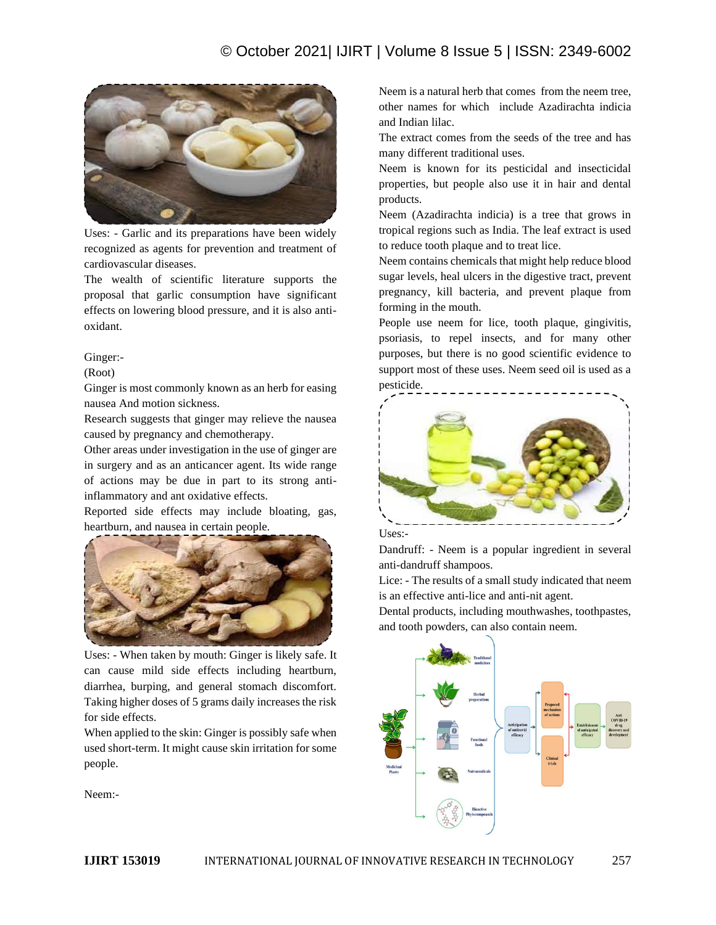## © October 2021| IJIRT | Volume 8 Issue 5 | ISSN: 2349-6002



Uses: - Garlic and its preparations have been widely recognized as agents for prevention and treatment of cardiovascular diseases.

The wealth of scientific literature supports the proposal that garlic consumption have significant effects on lowering blood pressure, and it is also antioxidant.

Ginger:-

(Root)

Ginger is most commonly known as an herb for easing nausea And motion sickness.

Research suggests that ginger may relieve the nausea caused by pregnancy and chemotherapy.

Other areas under investigation in the use of ginger are in surgery and as an anticancer agent. Its wide range of actions may be due in part to its strong antiinflammatory and ant oxidative effects.

Reported side effects may include bloating, gas, heartburn, and nausea in certain people.



Uses: - When taken by mouth: Ginger is likely safe. It can cause mild side effects including heartburn, diarrhea, burping, and general stomach discomfort. Taking higher doses of 5 grams daily increases the risk for side effects.

When applied to the skin: Ginger is possibly safe when used short-term. It might cause skin irritation for some people.

Neem:-

Neem is a natural herb that comes from the neem tree, other names for which include Azadirachta indicia and Indian lilac.

The extract comes from the seeds of the tree and has many different traditional uses.

Neem is known for its pesticidal and insecticidal properties, but people also use it in hair and dental products.

Neem (Azadirachta indicia) is a tree that grows in tropical regions such as India. The leaf extract is used to reduce tooth plaque and to treat lice.

Neem contains chemicals that might help reduce blood sugar levels, heal ulcers in the digestive tract, prevent pregnancy, kill bacteria, and prevent plaque from forming in the mouth.

People use neem for lice, tooth plaque, gingivitis, psoriasis, to repel insects, and for many other purposes, but there is no good scientific evidence to support most of these uses. Neem seed oil is used as a pesticide.





Dandruff: - Neem is a popular ingredient in several anti-dandruff shampoos.

Lice: - The results of a small study indicated that neem is an effective anti-lice and anti-nit agent.

Dental products, including mouthwashes, toothpastes, and tooth powders, can also contain neem.

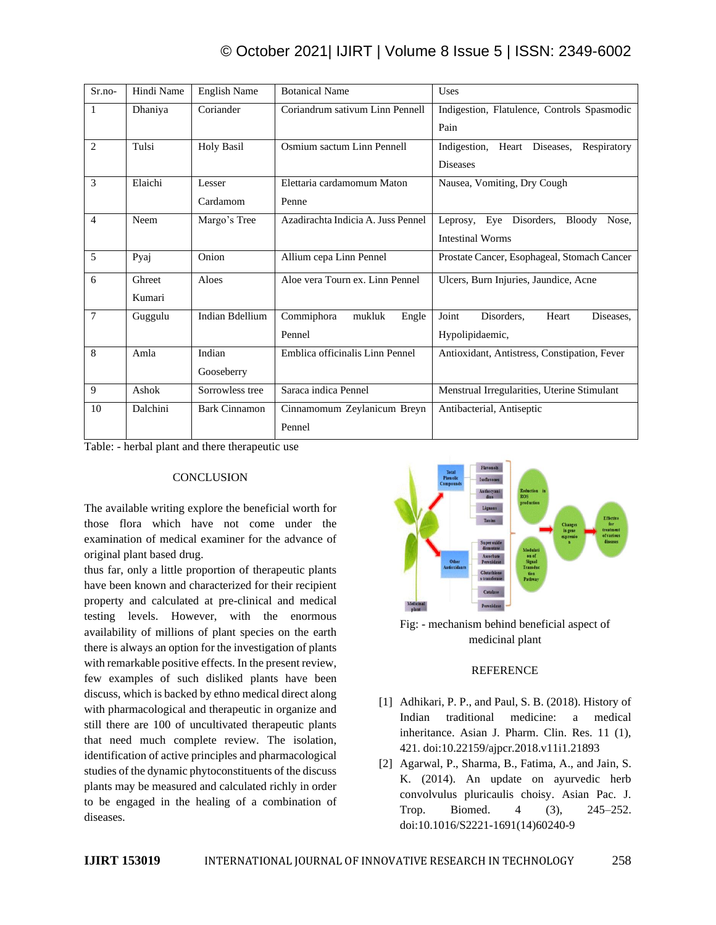# © October 2021| IJIRT | Volume 8 Issue 5 | ISSN: 2349-6002

| $Sr.no-$       | Hindi Name | <b>English Name</b>  | <b>Botanical Name</b>              | Uses                                         |
|----------------|------------|----------------------|------------------------------------|----------------------------------------------|
| 1              | Dhaniya    | Coriander            | Coriandrum sativum Linn Pennell    | Indigestion, Flatulence, Controls Spasmodic  |
|                |            |                      |                                    | Pain                                         |
| $\overline{c}$ | Tulsi      | <b>Holy Basil</b>    | Osmium sactum Linn Pennell         | Indigestion, Heart Diseases,<br>Respiratory  |
|                |            |                      |                                    | <b>Diseases</b>                              |
| 3              | Elaichi    | Lesser               | Elettaria cardamomum Maton         | Nausea, Vomiting, Dry Cough                  |
|                |            | Cardamom             | Penne                              |                                              |
| $\overline{4}$ | Neem       | Margo's Tree         | Azadirachta Indicia A. Juss Pennel | Leprosy, Eye Disorders,<br>Bloody<br>Nose,   |
|                |            |                      |                                    | <b>Intestinal Worms</b>                      |
| 5              | Pyaj       | Onion                | Allium cepa Linn Pennel            | Prostate Cancer, Esophageal, Stomach Cancer  |
| 6              | Ghreet     | Aloes                | Aloe vera Tourn ex. Linn Pennel    | Ulcers, Burn Injuries, Jaundice, Acne        |
|                | Kumari     |                      |                                    |                                              |
| 7              | Guggulu    | Indian Bdellium      | Commiphora<br>mukluk<br>Engle      | Joint<br>Disorders.<br>Heart<br>Diseases,    |
|                |            |                      | Pennel                             | Hypolipidaemic,                              |
| 8              | Amla       | Indian               | Emblica officinalis Linn Pennel    | Antioxidant, Antistress, Constipation, Fever |
|                |            | Gooseberry           |                                    |                                              |
| 9              | Ashok      | Sorrowless tree      | Saraca indica Pennel               | Menstrual Irregularities, Uterine Stimulant  |
| 10             | Dalchini   | <b>Bark Cinnamon</b> | Cinnamomum Zeylanicum Breyn        | Antibacterial, Antiseptic                    |
|                |            |                      | Pennel                             |                                              |

Table: - herbal plant and there therapeutic use

## **CONCLUSION**

The available writing explore the beneficial worth for those flora which have not come under the examination of medical examiner for the advance of original plant based drug.

thus far, only a little proportion of therapeutic plants have been known and characterized for their recipient property and calculated at pre-clinical and medical testing levels. However, with the enormous availability of millions of plant species on the earth there is always an option for the investigation of plants with remarkable positive effects. In the present review, few examples of such disliked plants have been discuss, which is backed by ethno medical direct along with pharmacological and therapeutic in organize and still there are 100 of uncultivated therapeutic plants that need much complete review. The isolation, identification of active principles and pharmacological studies of the dynamic phytoconstituents of the discuss plants may be measured and calculated richly in order to be engaged in the healing of a combination of diseases.



Fig: - mechanism behind beneficial aspect of medicinal plant

#### **REFERENCE**

- [1] Adhikari, P. P., and Paul, S. B. (2018). History of Indian traditional medicine: a medical inheritance. Asian J. Pharm. Clin. Res. 11 (1), 421. doi:10.22159/ajpcr.2018.v11i1.21893
- [2] Agarwal, P., Sharma, B., Fatima, A., and Jain, S. K. (2014). An update on ayurvedic herb convolvulus pluricaulis choisy. Asian Pac. J. Trop. Biomed. 4 (3), 245–252. doi:10.1016/S2221-1691(14)60240-9